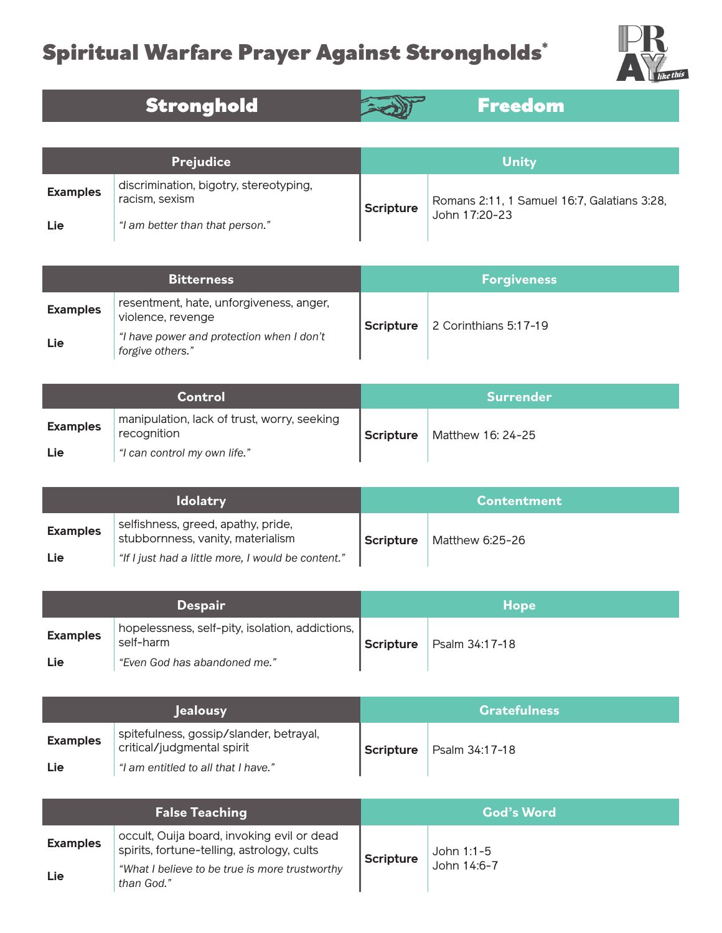## Spiritual Warfare Prayer Against Strongholds\*



Stronghold **Fixture** 



| <b>Prejudice</b> |                                                          | Unity     |                                                              |
|------------------|----------------------------------------------------------|-----------|--------------------------------------------------------------|
| <b>Examples</b>  | discrimination, bigotry, stereotyping,<br>racism, sexism | Scripture | Romans 2:11, 1 Samuel 16:7, Galatians 3:28,<br>John 17:20-23 |
| Lie              | "I am better than that person."                          |           |                                                              |

| <b>Bitterness</b> |                                                               | <b>Forgiveness</b> |                       |
|-------------------|---------------------------------------------------------------|--------------------|-----------------------|
| <b>Examples</b>   | resentment, hate, unforgiveness, anger,<br>violence, revenge  | Scripture          | 2 Corinthians 5:17-19 |
| Lie               | "I have power and protection when I don't<br>forgive others." |                    |                       |

| Control         |                                                            | ⊾Surrend <u>er</u> \ |                   |
|-----------------|------------------------------------------------------------|----------------------|-------------------|
| <b>Examples</b> | manipulation, lack of trust, worry, seeking<br>recognition | Scripture            | Matthew 16: 24-25 |
| Lie             | "I can control my own life."                               |                      |                   |

| <b>Idolatry</b> |                                                                         | <b>Contentment</b> |                 |
|-----------------|-------------------------------------------------------------------------|--------------------|-----------------|
| <b>Examples</b> | selfishness, greed, apathy, pride,<br>stubbornness, vanity, materialism | Scripture          | Matthew 6:25-26 |
| Lie             | "If I just had a little more, I would be content."                      |                    |                 |

| <b>Despair</b>  |                                                                            | <b>Hope</b> |                |
|-----------------|----------------------------------------------------------------------------|-------------|----------------|
| <b>Examples</b> | $\mid$ hopelessness, self-pity, isolation, addictions, $\mid$<br>self-harm | Scripture   | Psalm 34:17-18 |
| Lie             | "Even God has abandoned me."                                               |             |                |

| <b>lealousy</b> |                                                                       | <b>Gratefulness</b> |                |
|-----------------|-----------------------------------------------------------------------|---------------------|----------------|
| <b>Examples</b> | spitefulness, gossip/slander, betrayal,<br>critical/judgmental spirit | Scripture           | Psalm 34:17-18 |
| Lie             | "I am entitled to all that I have."                                   |                     |                |

| <b>False Teaching</b> |                                                                                          | <b>God's Word</b> |              |
|-----------------------|------------------------------------------------------------------------------------------|-------------------|--------------|
| <b>Examples</b>       | occult, Ouija board, invoking evil or dead<br>spirits, fortune-telling, astrology, cults | <b>Scripture</b>  | John $1:1-5$ |
| Lie                   | "What I believe to be true is more trustworthy<br>than God."                             |                   | John 14:6-7  |